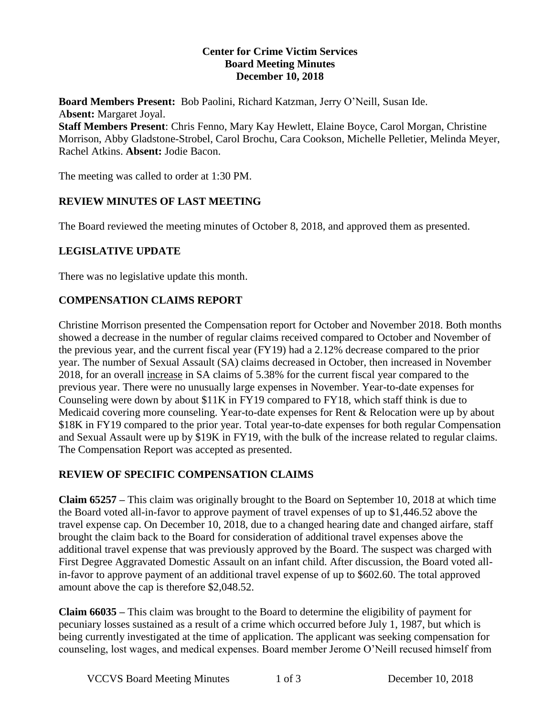#### **Center for Crime Victim Services Board Meeting Minutes December 10, 2018**

**Board Members Present:** Bob Paolini, Richard Katzman, Jerry O'Neill, Susan Ide. A**bsent:** Margaret Joyal.

**Staff Members Present**: Chris Fenno, Mary Kay Hewlett, Elaine Boyce, Carol Morgan, Christine Morrison, Abby Gladstone-Strobel, Carol Brochu, Cara Cookson, Michelle Pelletier, Melinda Meyer, Rachel Atkins. **Absent:** Jodie Bacon.

The meeting was called to order at 1:30 PM.

## **REVIEW MINUTES OF LAST MEETING**

The Board reviewed the meeting minutes of October 8, 2018, and approved them as presented.

## **LEGISLATIVE UPDATE**

There was no legislative update this month.

## **COMPENSATION CLAIMS REPORT**

Christine Morrison presented the Compensation report for October and November 2018. Both months showed a decrease in the number of regular claims received compared to October and November of the previous year, and the current fiscal year (FY19) had a 2.12% decrease compared to the prior year. The number of Sexual Assault (SA) claims decreased in October, then increased in November 2018, for an overall increase in SA claims of 5.38% for the current fiscal year compared to the previous year. There were no unusually large expenses in November. Year-to-date expenses for Counseling were down by about \$11K in FY19 compared to FY18, which staff think is due to Medicaid covering more counseling. Year-to-date expenses for Rent & Relocation were up by about \$18K in FY19 compared to the prior year. Total year-to-date expenses for both regular Compensation and Sexual Assault were up by \$19K in FY19, with the bulk of the increase related to regular claims. The Compensation Report was accepted as presented.

## **REVIEW OF SPECIFIC COMPENSATION CLAIMS**

**Claim 65257 –** This claim was originally brought to the Board on September 10, 2018 at which time the Board voted all-in-favor to approve payment of travel expenses of up to \$1,446.52 above the travel expense cap. On December 10, 2018, due to a changed hearing date and changed airfare, staff brought the claim back to the Board for consideration of additional travel expenses above the additional travel expense that was previously approved by the Board. The suspect was charged with First Degree Aggravated Domestic Assault on an infant child. After discussion, the Board voted allin-favor to approve payment of an additional travel expense of up to \$602.60. The total approved amount above the cap is therefore \$2,048.52.

**Claim 66035 –** This claim was brought to the Board to determine the eligibility of payment for pecuniary losses sustained as a result of a crime which occurred before July 1, 1987, but which is being currently investigated at the time of application. The applicant was seeking compensation for counseling, lost wages, and medical expenses. Board member Jerome O'Neill recused himself from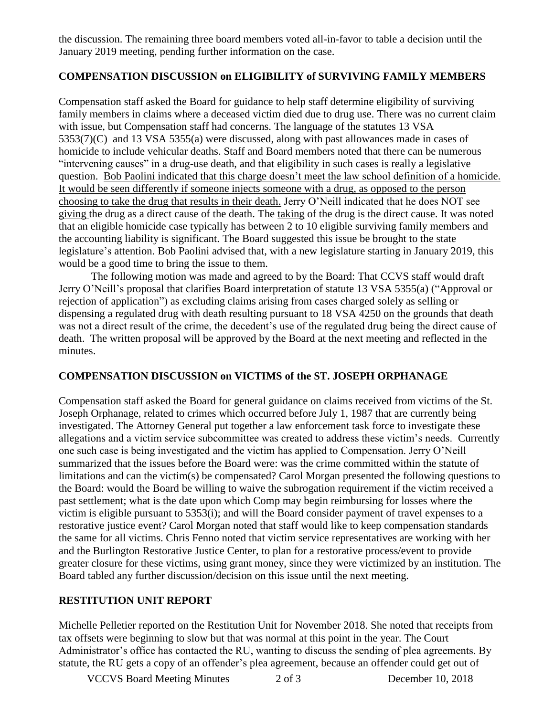the discussion. The remaining three board members voted all-in-favor to table a decision until the January 2019 meeting, pending further information on the case.

#### **COMPENSATION DISCUSSION on ELIGIBILITY of SURVIVING FAMILY MEMBERS**

Compensation staff asked the Board for guidance to help staff determine eligibility of surviving family members in claims where a deceased victim died due to drug use. There was no current claim with issue, but Compensation staff had concerns. The language of the statutes 13 VSA 5353(7)(C) and 13 VSA 5355(a) were discussed, along with past allowances made in cases of homicide to include vehicular deaths. Staff and Board members noted that there can be numerous "intervening causes" in a drug-use death, and that eligibility in such cases is really a legislative question. Bob Paolini indicated that this charge doesn't meet the law school definition of a homicide. It would be seen differently if someone injects someone with a drug, as opposed to the person choosing to take the drug that results in their death. Jerry O'Neill indicated that he does NOT see giving the drug as a direct cause of the death. The taking of the drug is the direct cause. It was noted that an eligible homicide case typically has between 2 to 10 eligible surviving family members and the accounting liability is significant. The Board suggested this issue be brought to the state legislature's attention. Bob Paolini advised that, with a new legislature starting in January 2019, this would be a good time to bring the issue to them.

The following motion was made and agreed to by the Board: That CCVS staff would draft Jerry O'Neill's proposal that clarifies Board interpretation of statute 13 VSA 5355(a) ("Approval or rejection of application") as excluding claims arising from cases charged solely as selling or dispensing a regulated drug with death resulting pursuant to 18 VSA 4250 on the grounds that death was not a direct result of the crime, the decedent's use of the regulated drug being the direct cause of death. The written proposal will be approved by the Board at the next meeting and reflected in the minutes.

## **COMPENSATION DISCUSSION on VICTIMS of the ST. JOSEPH ORPHANAGE**

Compensation staff asked the Board for general guidance on claims received from victims of the St. Joseph Orphanage, related to crimes which occurred before July 1, 1987 that are currently being investigated. The Attorney General put together a law enforcement task force to investigate these allegations and a victim service subcommittee was created to address these victim's needs. Currently one such case is being investigated and the victim has applied to Compensation. Jerry O'Neill summarized that the issues before the Board were: was the crime committed within the statute of limitations and can the victim(s) be compensated? Carol Morgan presented the following questions to the Board: would the Board be willing to waive the subrogation requirement if the victim received a past settlement; what is the date upon which Comp may begin reimbursing for losses where the victim is eligible pursuant to 5353(i); and will the Board consider payment of travel expenses to a restorative justice event? Carol Morgan noted that staff would like to keep compensation standards the same for all victims. Chris Fenno noted that victim service representatives are working with her and the Burlington Restorative Justice Center, to plan for a restorative process/event to provide greater closure for these victims, using grant money, since they were victimized by an institution. The Board tabled any further discussion/decision on this issue until the next meeting.

#### **RESTITUTION UNIT REPORT**

Michelle Pelletier reported on the Restitution Unit for November 2018. She noted that receipts from tax offsets were beginning to slow but that was normal at this point in the year. The Court Administrator's office has contacted the RU, wanting to discuss the sending of plea agreements. By statute, the RU gets a copy of an offender's plea agreement, because an offender could get out of

VCCVS Board Meeting Minutes 2 of 3 December 10, 2018